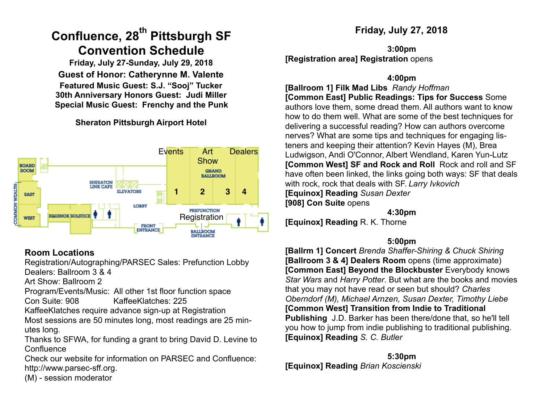# **Confluence, 28th Pittsburgh SF Convention Schedule**

**Friday, July 27-Sunday, July 29, 2018 Guest of Honor: Catherynne M. Valente Featured Music Guest: S.J. "Sooj" Tucker 30th Anniversary Honors Guest: Judi Miller Special Music Guest: Frenchy and the Punk**

### **Sheraton Pittsburgh Airport Hotel**



### **Room Locations**

Registration/Autographing/PARSEC Sales: Prefunction Lobby Dealers: Ballroom 3 & 4

Art Show: Ballroom 2

Program/Events/Music: All other 1st floor function space Con Suite: 908 KaffeeKlatches: 225

KaffeeKlatches require advance sign-up at Registration

Most sessions are 50 minutes long, most readings are 25 minutes long.

Thanks to SFWA, for funding a grant to bring David D. Levine to **Confluence** 

Check our website for information on PARSEC and Confluence: [http://www.parsec-sff.org.](http://www.parsec-sff.org)

(M) - session moderator

### **Friday, July 27, 2018**

**3:00pm [Registration area] Registration** opens

#### **4:00pm**

**[Ballroom 1] Filk Mad Libs** *Randy Hoffman*  **[Common East] Public Readings: Tips for Success** Some authors love them, some dread them. All authors want to know how to do them well. What are some of the best techniques for delivering a successful reading? How can authors overcome nerves? What are some tips and techniques for engaging listeners and keeping their attention? Kevin Hayes (M), Brea Ludwigson, Andi O'Connor, Albert Wendland, Karen Yun-Lutz **[Common West] SF and Rock and Roll** Rock and roll and SF have often been linked, the links going both ways: SF that deals with rock, rock that deals with SF. *Larry Ivkovich*  **[Equinox] Reading** *Susan Dexter*  **[908] Con Suite** opens

**4:30pm** 

**[Equinox] Reading** R. K. Thorne

### **5:00pm**

**[Ballrm 1] Concert** *Brenda Shaffer-Shiring & Chuck Shiring*  **[Ballroom 3 & 4] Dealers Room** opens (time approximate) **[Common East] Beyond the Blockbuster** Everybody knows *Star Wars* and *Harry Potter*. But what are the books and movies that you may not have read or seen but should? *Charles Oberndorf (M), Michael Arnzen, Susan Dexter, Timothy Liebe*  **[Common West] Transition from Indie to Traditional Publishing** J.D. Barker has been there/done that, so he'll tell you how to jump from indie publishing to traditional publishing. **[Equinox] Reading** *S. C. Butler*

**5:30pm [Equinox] Reading** *Brian Koscienski*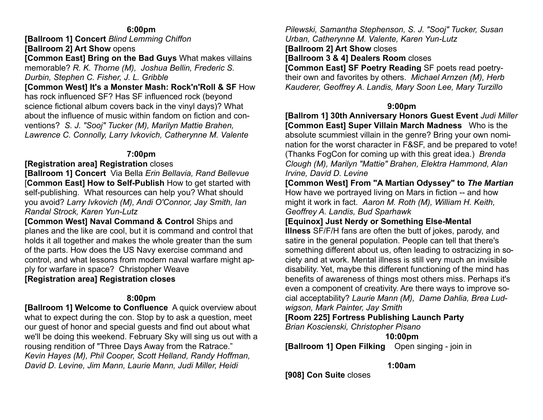#### **6:00pm**

**[Ballroom 1] Concert** *Blind Lemming Chiffon*  **[Ballroom 2] Art Show** opens

**[Common East] Bring on the Bad Guys** What makes villains memorable? *R. K. Thorne (M), Joshua Bellin, Frederic S. Durbin, Stephen C. Fisher, J. L. Gribble*

**[Common West] It's a Monster Mash: Rock'n'Roll & SF** How has rock influenced SF? Has SF influenced rock (beyond science fictional album covers back in the vinyl days)? What about the influence of music within fandom on fiction and conventions? *S. J. "Sooj" Tucker (M), Marilyn Mattie Brahen, Lawrence C. Connolly, Larry Ivkovich, Catherynne M. Valente*

#### **7:00pm**

#### **[Registration area] Registration** closes

**[Ballroom 1] Concert** Via Bella *Erin Bellavia, Rand Bellevue* [**Common East] How to Self-Publish** How to get started with self-publishing. What resources can help you? What should you avoid? *Larry Ivkovich (M), Andi O'Connor, Jay Smith, Ian Randal Strock, Karen Yun-Lutz* 

**[Common West] Naval Command & Control Ships and** planes and the like are cool, but it is command and control that holds it all together and makes the whole greater than the sum of the parts. How does the US Navy exercise command and control, and what lessons from modern naval warfare might apply for warfare in space? Christopher Weave

**[Registration area] Registration closes** 

### **8:00pm**

**[Ballroom 1] Welcome to Confluence** A quick overview about what to expect during the con. Stop by to ask a question, meet our guest of honor and special guests and find out about what we'll be doing this weekend. February Sky will sing us out with a rousing rendition of "Three Days Away from the Ratrace." *Kevin Hayes (M), Phil Cooper, Scott Helland, Randy Hoffman, David D. Levine, Jim Mann, Laurie Mann, Judi Miller, Heidi* 

*Pilewski, Samantha Stephenson, S. J. "Sooj" Tucker, Susan Urban, Catherynne M. Valente, Karen Yun-Lutz*  **[Ballroom 2] Art Show** closes **[Ballroom 3 & 4] Dealers Room** closes **[Common East] SF Poetry Reading** SF poets read poetrytheir own and favorites by others. *Michael Arnzen (M), Herb Kauderer, Geoffrey A. Landis, Mary Soon Lee, Mary Turzillo* 

#### **9:00pm**

**[Ballrom 1] 30th Anniversary Honors Guest Event** *Judi Miller* **[Common East] Super Villain March Madness** Who is the absolute scummiest villain in the genre? Bring your own nomination for the worst character in F&SF, and be prepared to vote! (Thanks FogCon for coming up with this great idea.) *Brenda Clough (M), Marilyn "Mattie" Brahen, Elektra Hammond, Alan Irvine, David D. Levine* 

**[Common West] From "A Martian Odyssey" to** *The Martian* How have we portrayed living on Mars in fiction -- and how might it work in fact. *Aaron M. Roth (M), William H. Keith, Geoffrey A. Landis, Bud Sparhawk* 

### **[Equinox] Just Nerdy or Something Else-Mental**

**Illness** SF/F/H fans are often the butt of jokes, parody, and satire in the general population. People can tell that there's something different about us, often leading to ostracizing in society and at work. Mental illness is still very much an invisible disability. Yet, maybe this different functioning of the mind has benefits of awareness of things most others miss. Perhaps it's even a component of creativity. Are there ways to improve social acceptability? *Laurie Mann (M), Dame Dahlia, Brea Ludwigson, Mark Painter, Jay Smith* 

**[Room 225] Fortress Publishing Launch Party** 

*Brian Koscienski, Christopher Pisano* 

**10:00pm** 

**[Ballroom 1] Open Filking** Open singing - join in

**1:00am** 

**[908] Con Suite** closes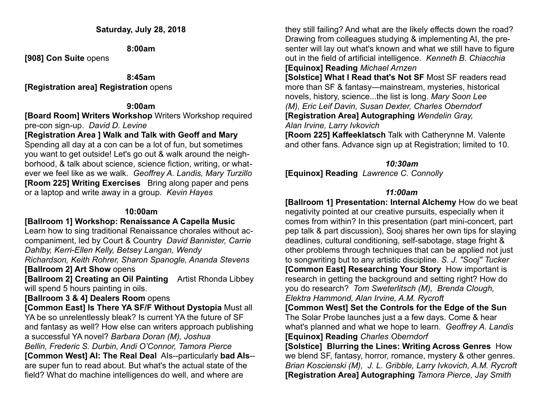**8:00am** 

**[908] Con Suite** opens

**8:45am** 

### **[Registration area] Registration** opens

### **9:00am**

**[Board Room] Writers Workshop** Writers Workshop required pre-con sign-up. *David D. Levine* 

### **[Registration Area ] Walk and Talk with Geoff and Mary**

Spending all day at a con can be a lot of fun, but sometimes you want to get outside! Let's go out & walk around the neighborhood, & talk about science, science fiction, writing, or whatever we feel like as we walk. *Geoffrey A. Landis, Mary Turzillo*  **[Room 225] Writing Exercises** Bring along paper and pens or a laptop and write away in a group. *Kevin Hayes* 

### **10:00am**

### **[Ballroom 1] Workshop: Renaissance A Capella Music**

Learn how to sing traditional Renaissance chorales without accompaniment, led by Court & Country *David Bannister, Carrie Dahlby, Kerri-Ellen Kelly, Betsey Langan, Wendy* 

*Richardson, Keith Rohrer, Sharon Spanogle, Ananda Stevens*  **[Ballroom 2] Art Show** opens

**[Ballroom 2] Creating an Oil Painting** Artist Rhonda Libbey will spend 5 hours painting in oils.

### **[Ballroom 3 & 4] Dealers Room** opens

**[Common East] Is There YA SF/F Without Dystopia** Must all YA be so unrelentlessly bleak? Is current YA the future of SF and fantasy as well? How else can writers approach publishing a successful YA novel? *Barbara Doran (M), Joshua Bellin, Frederic S. Durbin, Andi O'Connor, Tamora Pierce*  **[Common West] AI: The Real Deal** AIs--particularly **bad AIs**- are super fun to read about. But what's the actual state of the field? What do machine intelligences do well, and where are

they still failing? And what are the likely effects down the road? Drawing from colleagues studying & implementing AI, the presenter will lay out what's known and what we still have to figure out in the field of artificial intelligence. *Kenneth B. Chiacchia* **[Equinox] Reading** *Michael Arnzen*

**[Solstice] What I Read that's Not SF** Most SF readers read more than SF & fantasy—mainstream, mysteries, historical novels, history, science...the list is long. *Mary Soon Lee (M), Eric Leif Davin, Susan Dexter, Charles Oberndorf* **[Registration Area] Autographing** *Wendelin Gray, Alan Irvine, Larry Ivkovich* 

**[Room 225] Kaffeeklatsch** Talk with Catherynne M. Valente and other fans. Advance sign up at Registration; limited to 10.

### *10:30am*

**[Equinox] Reading** *Lawrence C. Connolly*

### *11:00am*

**[Ballroom 1] Presentation: Internal Alchemy** How do we beat negativity pointed at our creative pursuits, especially when it comes from within? In this presentation (part mini-concert, part pep talk & part discussion), Sooj shares her own tips for slaying deadlines, cultural conditioning, self-sabotage, stage fright & other problems through techniques that can be applied not just to songwriting but to any artistic discipline. *S. J. "Sooj" Tucker* **[Common East] Researching Your Story** How important is research in getting the background and setting right? How do you do research? *Tom Sweterlitsch (M), Brenda Clough, Elektra Hammond, Alan Irvine, A.M. Rycroft* 

**[Common West] Set the Controls for the Edge of the Sun**  The Solar Probe launches just a a few days. Come & hear what's planned and what we hope to learn. *Geoffrey A. Landis*  **[Equinox] Reading** *Charles Oberndorf* 

**[Solstice] Blurring the Lines: Writing Across Genres** How we blend SF, fantasy, horror, romance, mystery & other genres. *Brian Koscienski (M), J. L. Gribble, Larry Ivkovich, A.M. Rycroft*  **[Registration Area] Autographing** *Tamora Pierce, Jay Smith*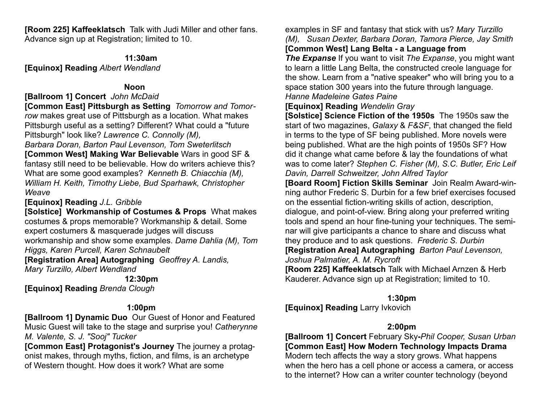**[Room 225] Kaffeeklatsch** Talk with Judi Miller and other fans. Advance sign up at Registration; limited to 10.

**11:30am** 

**[Equinox] Reading** *Albert Wendland* 

### **Noon**

### **[Ballroom 1] Concert** *John McDaid*

**[Common East] Pittsburgh as Setting** *Tomorrow and Tomorrow* makes great use of Pittsburgh as a location. What makes Pittsburgh useful as a setting? Different? What could a "future Pittsburgh" look like? *Lawrence C. Connolly (M),* 

*Barbara Doran, Barton Paul Levenson, Tom Sweterlitsch*  **[Common West] Making War Believable** Wars in good SF & fantasy still need to be believable. How do writers achieve this? What are some good examples? *Kenneth B. Chiacchia (M), William H. Keith, Timothy Liebe, Bud Sparhawk, Christopher Weave* 

**[Equinox] Reading** *J.L. Gribble*

**[Solstice] Workmanship of Costumes & Props** What makes costumes & props memorable? Workmanship & detail. Some expert costumers & masquerade judges will discuss workmanship and show some examples. *Dame Dahlia (M), Tom Higgs, Karen Purcell, Karen Schnaubelt* 

**[Registration Area] Autographing** *Geoffrey A. Landis, Mary Turzillo, Albert Wendland* 

**12:30pm** 

**[Equinox] Reading** *Brenda Clough* 

### **1:00pm**

**[Ballroom 1] Dynamic Duo** Our Guest of Honor and Featured Music Guest will take to the stage and surprise you! *Catherynne M. Valente, S. J. "Sooj" Tucker* 

**[Common East] Protagonist's Journey** The journey a protagonist makes, through myths, fiction, and films, is an archetype of Western thought. How does it work? What are some

examples in SF and fantasy that stick with us? *Mary Turzillo (M), Susan Dexter, Barbara Doran, Tamora Pierce, Jay Smith* **[Common West] Lang Belta - a Language from** 

*The Expanse* If you want to visit *The Expanse*, you might want to learn a little Lang Belta, the constructed creole language for the show. Learn from a "native speaker" who will bring you to a space station 300 years into the future through language. *Hanne Madeleine Gates Paine* 

### **[Equinox] Reading** *Wendelin Gray*

**[Solstice] Science Fiction of the 1950s** The 1950s saw the start of two magazines, *Galaxy* & *F&SF*, that changed the field in terms to the type of SF being published. More novels were being published. What are the high points of 1950s SF? How did it change what came before & lay the foundations of what was to come later? *Stephen C. Fisher (M), S.C. Butler, Eric Leif Davin, Darrell Schweitzer, John Alfred Taylor*

**[Board Room] Fiction Skills Seminar** Join Realm Award-winning author Frederic S. Durbin for a few brief exercises focused on the essential fiction-writing skills of action, description, dialogue, and point-of-view. Bring along your preferred writing tools and spend an hour fine-tuning your techniques. The seminar will give participants a chance to share and discuss what they produce and to ask questions. *Frederic S. Durbin*

## **[Registration Area] Autographing** *Barton Paul Levenson,*

*Joshua Palmatier, A. M. Rycroft* 

**[Room 225] Kaffeeklatsch** Talk with Michael Arnzen & Herb Kauderer. Advance sign up at Registration; limited to 10.

### **1:30pm**

**[Equinox] Reading** Larry Ivkovich

### **2:00pm**

**[Ballroom 1] Concert** February Sky**-***Phil Cooper, Susan Urban*  **[Common East] How Modern Technology Impacts Drama**  Modern tech affects the way a story grows. What happens when the hero has a cell phone or access a camera, or access to the internet? How can a writer counter technology (beyond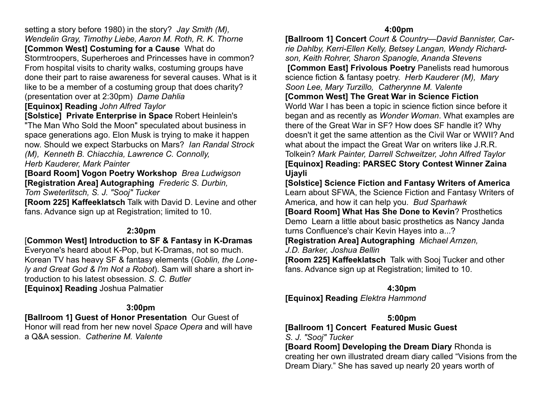setting a story before 1980) in the story? *Jay Smith (M), Wendelin Gray, Timothy Liebe, Aaron M. Roth, R. K. Thorne*  **[Common West] Costuming for a Cause** What do Stormtroopers, Superheroes and Princesses have in common? From hospital visits to charity walks, costuming groups have done their part to raise awareness for several causes. What is it

like to be a member of a costuming group that does charity? (presentation over at 2:30pm) *Dame Dahlia*

#### **[Equinox] Reading** *John Alfred Taylor*

**[Solstice] Private Enterprise in Space** Robert Heinlein's "The Man Who Sold the Moon" speculated about business in space generations ago. Elon Musk is trying to make it happen now. Should we expect Starbucks on Mars? *Ian Randal Strock (M), Kenneth B. Chiacchia, Lawrence C. Connolly, Herb Kauderer, Mark Painter*

**[Board Room] Vogon Poetry Workshop** *Brea Ludwigson* **[Registration Area] Autographing** *Frederic S. Durbin,* 

*Tom Sweterlitsch, S. J. "Sooj" Tucker* 

**[Room 225] Kaffeeklatsch** Talk with David D. Levine and other fans. Advance sign up at Registration; limited to 10.

#### **2:30pm**

[**Common West] Introduction to SF & Fantasy in K-Dramas** Everyone's heard about K-Pop, but K-Dramas, not so much. Korean TV has heavy SF & fantasy elements (*Goblin, the Lonely and Great God & I'm Not a Robot*). Sam will share a short in-

troduction to his latest obsession. *S. C. Butler*  **[Equinox] Reading** Joshua Palmatier

### **3:00pm**

**[Ballroom 1] Guest of Honor Presentation** Our Guest of Honor will read from her new novel *Space Opera* and will have a Q&A session. *Catherine M. Valente* 

#### **4:00pm**

**[Ballroom 1] Concert** *Court & Country—David Bannister, Carrie Dahlby, Kerri-Ellen Kelly, Betsey Langan, Wendy Richardson, Keith Rohrer, Sharon Spanogle, Ananda Stevens*   **[Common East] Frivolous Poetry** Panelists read humorous science fiction & fantasy poetry. *Herb Kauderer (M), Mary Soon Lee, Mary Turzillo, Catherynne M. Valente*  **[Common West] The Great War in Science Fiction** World War I has been a topic in science fiction since before it began and as recently as *Wonder Woman*. What examples are there of the Great War in SF? How does SF handle it? Why doesn't it get the same attention as the Civil War or WWII? And what about the impact the Great War on writers like J.R.R. Tolkein? *Mark Painter, Darrell Schweitzer, John Alfred Taylor*  **[Equinox] Reading: [PARSEC Story Contest Winner Zaina](http://parsec-sff.org/zambia/EditSession.php?id=327)  [Ujayli](http://parsec-sff.org/zambia/EditSession.php?id=327)**

**[Solstice] Science Fiction and Fantasy Writers of America**  Learn about SFWA, the Science Fiction and Fantasy Writers of America, and how it can help you. *Bud Sparhawk* **[Board Room] What Has She Done to Kevin**? Prosthetics Demo Learn a little about basic prosthetics as Nancy Janda

turns Confluence's chair Kevin Hayes into a...?

**[Registration Area] Autographing** *Michael Arnzen,* 

*J.D. Barker, Joshua Bellin* 

**[Room 225] Kaffeeklatsch** Talk with Sooj Tucker and other fans. Advance sign up at Registration; limited to 10.

**4:30pm**

**[Equinox] Reading** *Elektra Hammond*

### **5:00pm**

**[Ballroom 1] Concert Featured Music Guest**

*S. J. "Sooj" Tucker* 

**[Board Room] Developing the Dream Diary** Rhonda is creating her own illustrated dream diary called "Visions from the Dream Diary." She has saved up nearly 20 years worth of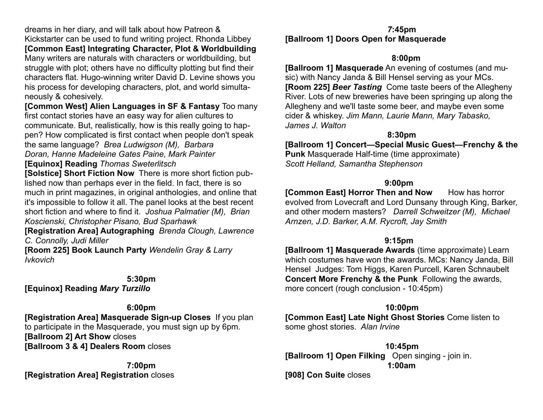dreams in her diary, and will talk about how Patreon & Kickstarter can be used to fund writing project. Rhonda Libbey **[Common East] Integrating Character, Plot & Worldbuilding**  Many writers are naturals with characters or worldbuilding, but struggle with plot; others have no difficulty plotting but find their characters flat. Hugo-winning writer David D. Levine shows you his process for developing characters, plot, and world simultaneously & cohesively.

**[Common West] Alien Languages in SF & Fantasy** Too many first contact stories have an easy way for alien cultures to communicate. But, realistically, how is this really going to happen? How complicated is first contact when people don't speak the same language? *Brea Ludwigson (M), Barbara Doran, Hanne Madeleine Gates Paine, Mark Painter* 

#### **[Equinox] Reading** *Thomas Sweterlitsch*

**[Solstice] Short Fiction Now** There is more short fiction published now than perhaps ever in the field. In fact, there is so much in print magazines, in original anthologies, and online that it's impossible to follow it all. The panel looks at the best recent short fiction and where to find it. *Joshua Palmatier (M), Brian Koscienski, Christopher Pisano, Bud Sparhawk*

**[Registration Area] Autographing** *Brenda Clough, Lawrence C. Connolly, Judi Miller* 

**[Room 225] Book Launch Party** *Wendelin Gray & Larry Ivkovich*

#### **5:30pm**

**[Equinox] Reading** *Mary Turzillo* 

#### **6:00pm**

**[Registration Area] Masquerade Sign-up Closes** If you plan to participate in the Masquerade, you must sign up by 6pm. **[Ballroom 2] Art Show** closes **[Ballroom 3 & 4] Dealers Room** closes

**7:00pm [Registration Area] Registration** closes

#### *7***:45pm [Ballroom 1] Doors Open for Masquerade**

#### **8:00pm**

**[Ballroom 1] Masquerade** An evening of costumes (and music) with Nancy Janda & Bill Hensel serving as your MCs. **[Room 225]** *Beer Tasting* Come taste beers of the Allegheny River. Lots of new breweries have been springing up along the Allegheny and we'll taste some beer, and maybe even some cider & whiskey. *Jim Mann, Laurie Mann, Mary Tabasko, James J. Walton* 

#### **8:30pm**

**[Ballroom 1] Concert—Special Music Guest—Frenchy & the Punk** Masquerade Half-time (time approximate) *Scott Helland, Samantha Stephenson* 

#### **9:00pm**

**[Common East] Horror Then and Now How has horror** evolved from Lovecraft and Lord Dunsany through King, Barker, and other modern masters? *Darrell Schweitzer (M), Michael Arnzen, J.D. Barker, A.M. Rycroft, Jay Smith* 

#### **9:15pm**

**[Ballroom 1] Masquerade Awards** (time approximate) Learn which costumes have won the awards. MCs: Nancy Janda, Bill Hensel Judges: Tom Higgs, Karen Purcell, Karen Schnaubelt **Concert More Frenchy & the Punk** Following the awards, more concert (rough conclusion - 10:45pm)

### **10:00pm**

**[Common East] Late Night Ghost Stories** Come listen to some ghost stories. *Alan Irvine*

**10:45pm [Ballroom 1] Open Filking** Open singing - join in. **1:00am [908] Con Suite** closes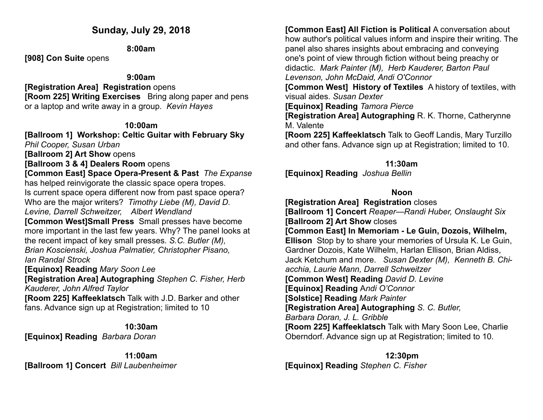### **Sunday, July 29, 2018**

**8:00am** 

**[908] Con Suite** opens

#### **9:00am**

**[Registration Area] Registration** opens **[Room 225] Writing Exercises** Bring along paper and pens or a laptop and write away in a group. *Kevin Hayes* 

### **10:00am**

**[Ballroom 1] Workshop: Celtic Guitar with February Sky** 

*Phil Cooper, Susan Urban* 

**[Ballroom 2] Art Show** opens

**[Ballroom 3 & 4] Dealers Room** opens

**[Common East] Space Opera-Present & Past** *The Expanse* has helped reinvigorate the classic space opera tropes. Is current space opera different now from past space opera?

Who are the major writers? *Timothy Liebe (M), David D. Levine, Darrell Schweitzer, Albert Wendland* 

**[Common West]Small Press** Small presses have become more important in the last few years. Why? The panel looks at the recent impact of key small presses. *S.C. Butler (M), Brian Koscienski, Joshua Palmatier, Christopher Pisano, Ian Randal Strock*

**[Equinox] Reading** *Mary Soon Lee*

**[Registration Area] Autographing** *Stephen C. Fisher, Herb Kauderer, John Alfred Taylor*

**[Room 225] Kaffeeklatsch** Talk with J.D. Barker and other fans. Advance sign up at Registration; limited to 10

**10:30am [Equinox] Reading** *Barbara Doran* 

**11:00am [Ballroom 1] Concert** *Bill Laubenheimer* **[Common East] All Fiction is Political** A conversation about how author's political values inform and inspire their writing. The panel also shares insights about embracing and conveying one's point of view through fiction without being preachy or didactic. *Mark Painter (M), Herb Kauderer, Barton Paul Levenson, John McDaid, Andi O'Connor* 

**[Common West] History of Textiles** A history of textiles, with visual aides. *Susan Dexter* 

**[Equinox] Reading** *Tamora Pierce*

**[Registration Area] Autographing** R. K. Thorne, Catherynne M. Valente

**[Room 225] Kaffeeklatsch** Talk to Geoff Landis, Mary Turzillo and other fans. Advance sign up at Registration; limited to 10.

### **11:30am**

**[Equinox] Reading** *Joshua Bellin* 

### **Noon**

**[Registration Area] Registration** closes **[Ballroom 1] Concert** *Reaper—Randi Huber, Onslaught Six*  **[Ballroom 2] Art Show** closes **[Common East] In Memoriam - Le Guin, Dozois, Wilhelm, Ellison** Stop by to share your memories of Ursula K. Le Guin, Gardner Dozois, Kate Wilhelm, Harlan Ellison, Brian Aldiss, Jack Ketchum and more. *Susan Dexter (M), Kenneth B. Chiacchia, Laurie Mann, Darrell Schweitzer*  **[Common West] Reading** *David D. Levine*  **[Equinox] Reading** A*ndi O'Connor* **[Solstice] Reading** *Mark Painter*  **[Registration Area] Autographing** *S. C. Butler, Barbara Doran, J. L. Gribble*  **[Room 225] Kaffeeklatsch** Talk with Mary Soon Lee, Charlie Oberndorf. Advance sign up at Registration; limited to 10.

**12:30pm [Equinox] Reading** *Stephen C. Fisher*